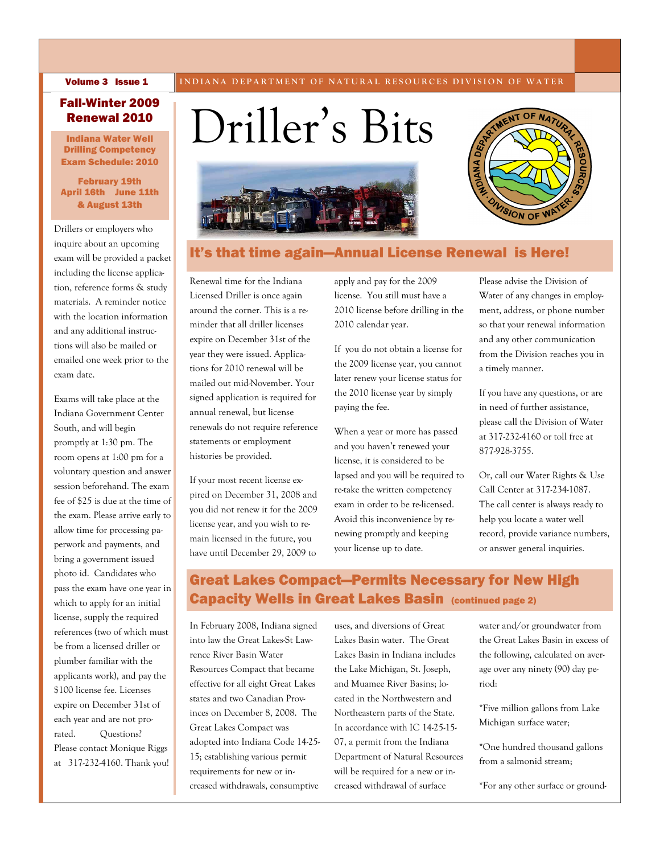#### Volume 3 Issue 1

**INDIANA DEPARTMENT OF NATURAL RESOURCES DIVISION OF WATER** 

## Fall-Winter 2009 Renewal 2010

Indiana Water Well Drilling Competency Exam Schedule: 2010

### February 19th April 16th June 11th & August 13th

Drillers or employers who inquire about an upcoming exam will be provided a packet including the license application, reference forms & study materials. A reminder notice with the location information and any additional instructions will also be mailed or emailed one week prior to the exam date.

Exams will take place at the Indiana Government Center South, and will begin promptly at 1:30 pm. The room opens at 1:00 pm for a voluntary question and answer session beforehand. The exam fee of \$25 is due at the time of the exam. Please arrive early to allow time for processing paperwork and payments, and bring a government issued photo id. Candidates who pass the exam have one year in which to apply for an initial license, supply the required references (two of which must be from a licensed driller or plumber familiar with the applicants work), and pay the \$100 license fee. Licenses expire on December 31st of each year and are not prorated. Questions? Please contact Monique Riggs at 317-232-4160. Thank you!

# Driller's Bits





# It's that time again—Annual License Renewal is Here!

Renewal time for the Indiana Licensed Driller is once again around the corner. This is a reminder that all driller licenses expire on December 31st of the year they were issued. Applications for 2010 renewal will be mailed out mid-November. Your signed application is required for annual renewal, but license renewals do not require reference statements or employment histories be provided.

If your most recent license expired on December 31, 2008 and you did not renew it for the 2009 license year, and you wish to remain licensed in the future, you have until December 29, 2009 to

apply and pay for the 2009 license. You still must have a 2010 license before drilling in the 2010 calendar year.

If you do not obtain a license for the 2009 license year, you cannot later renew your license status for the 2010 license year by simply paying the fee.

When a year or more has passed and you haven't renewed your license, it is considered to be lapsed and you will be required to re-take the written competency exam in order to be re-licensed. Avoid this inconvenience by renewing promptly and keeping your license up to date.

Please advise the Division of Water of any changes in employment, address, or phone number so that your renewal information and any other communication from the Division reaches you in a timely manner.

If you have any questions, or are in need of further assistance, please call the Division of Water at 317-232-4160 or toll free at 877-928-3755.

Or, call our Water Rights & Use Call Center at 317-234-1087. The call center is always ready to help you locate a water well record, provide variance numbers, or answer general inquiries.

# Great Lakes Compact—Permits Necessary for New High Capacity Wells in Great Lakes Basin (continued page 2)

In February 2008, Indiana signed into law the Great Lakes-St Lawrence River Basin Water Resources Compact that became effective for all eight Great Lakes states and two Canadian Provinces on December 8, 2008. The Great Lakes Compact was adopted into Indiana Code 14-25- 15; establishing various permit requirements for new or increased withdrawals, consumptive uses, and diversions of Great Lakes Basin water. The Great Lakes Basin in Indiana includes the Lake Michigan, St. Joseph, and Muamee River Basins; located in the Northwestern and Northeastern parts of the State. In accordance with IC 14-25-15- 07, a permit from the Indiana Department of Natural Resources will be required for a new or increased withdrawal of surface

water and/or groundwater from the Great Lakes Basin in excess of the following, calculated on average over any ninety (90) day period:

\*Five million gallons from Lake Michigan surface water;

\*One hundred thousand gallons from a salmonid stream;

\*For any other surface or ground-